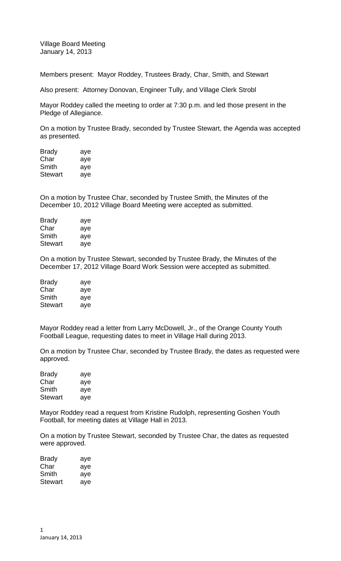Village Board Meeting January 14, 2013

Members present: Mayor Roddey, Trustees Brady, Char, Smith, and Stewart

Also present: Attorney Donovan, Engineer Tully, and Village Clerk Strobl

Mayor Roddey called the meeting to order at 7:30 p.m. and led those present in the Pledge of Allegiance.

On a motion by Trustee Brady, seconded by Trustee Stewart, the Agenda was accepted as presented.

| Brady   | aye |
|---------|-----|
| Char    | aye |
| Smith   | aye |
| Stewart | aye |

On a motion by Trustee Char, seconded by Trustee Smith, the Minutes of the December 10, 2012 Village Board Meeting were accepted as submitted.

| Brady   | aye |
|---------|-----|
| Char    | aye |
| Smith   | aye |
| Stewart | aye |
|         |     |

On a motion by Trustee Stewart, seconded by Trustee Brady, the Minutes of the December 17, 2012 Village Board Work Session were accepted as submitted.

| <b>Brady</b> | aye |
|--------------|-----|
| Char         | aye |
| Smith        | aye |
| Stewart      | aye |

Mayor Roddey read a letter from Larry McDowell, Jr., of the Orange County Youth Football League, requesting dates to meet in Village Hall during 2013.

On a motion by Trustee Char, seconded by Trustee Brady, the dates as requested were approved.

| <b>Brady</b>   | aye |
|----------------|-----|
| Char           | aye |
| Smith          | aye |
| <b>Stewart</b> | aye |

Mayor Roddey read a request from Kristine Rudolph, representing Goshen Youth Football, for meeting dates at Village Hall in 2013.

On a motion by Trustee Stewart, seconded by Trustee Char, the dates as requested were approved.

| Brady   | aye |
|---------|-----|
| Char    | aye |
| Smith   | aye |
| Stewart | ave |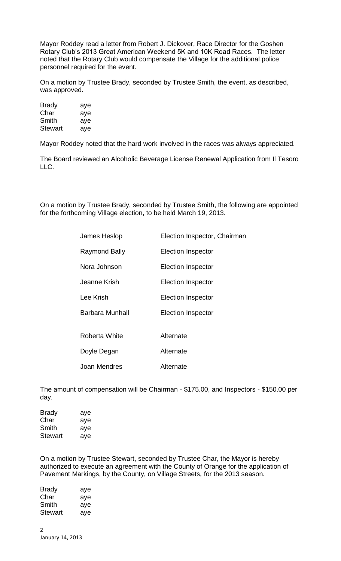Mayor Roddey read a letter from Robert J. Dickover, Race Director for the Goshen Rotary Club's 2013 Great American Weekend 5K and 10K Road Races. The letter noted that the Rotary Club would compensate the Village for the additional police personnel required for the event.

On a motion by Trustee Brady, seconded by Trustee Smith, the event, as described, was approved.

| <b>Brady</b>   | aye |
|----------------|-----|
| Char           | aye |
| Smith          | aye |
| <b>Stewart</b> | aye |

Mayor Roddey noted that the hard work involved in the races was always appreciated.

The Board reviewed an Alcoholic Beverage License Renewal Application from Il Tesoro LLC.

On a motion by Trustee Brady, seconded by Trustee Smith, the following are appointed for the forthcoming Village election, to be held March 19, 2013.

| James Heslop         | Election Inspector, Chairman |
|----------------------|------------------------------|
| <b>Raymond Bally</b> | <b>Election Inspector</b>    |
| Nora Johnson         | <b>Election Inspector</b>    |
| Jeanne Krish         | <b>Election Inspector</b>    |
| Lee Krish            | <b>Election Inspector</b>    |
| Barbara Munhall      | <b>Election Inspector</b>    |
|                      |                              |
| Roberta White        | Alternate                    |
| Doyle Degan          | Alternate                    |
| Joan Mendres         | Alternate                    |

The amount of compensation will be Chairman - \$175.00, and Inspectors - \$150.00 per day.

| Brady          | aye |
|----------------|-----|
| Char           | aye |
| Smith          | aye |
| <b>Stewart</b> | ave |

On a motion by Trustee Stewart, seconded by Trustee Char, the Mayor is hereby authorized to execute an agreement with the County of Orange for the application of Pavement Markings, by the County, on Village Streets, for the 2013 season.

| Brady   | aye |
|---------|-----|
| Char    | aye |
| Smith   | aye |
| Stewart | aye |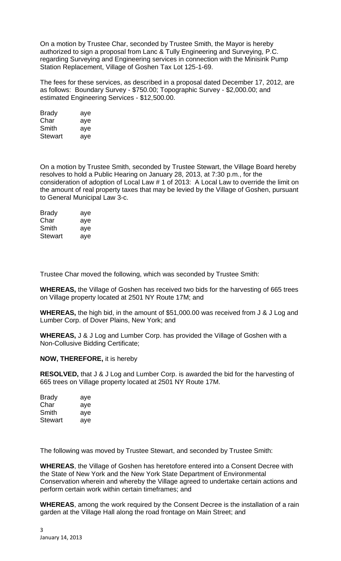On a motion by Trustee Char, seconded by Trustee Smith, the Mayor is hereby authorized to sign a proposal from Lanc & Tully Engineering and Surveying, P.C. regarding Surveying and Engineering services in connection with the Minisink Pump Station Replacement, Village of Goshen Tax Lot 125-1-69.

The fees for these services, as described in a proposal dated December 17, 2012, are as follows: Boundary Survey - \$750.00; Topographic Survey - \$2,000.00; and estimated Engineering Services - \$12,500.00.

| <b>Brady</b> | aye |
|--------------|-----|
| Char         | aye |
| Smith        | aye |
| Stewart      | aye |

On a motion by Trustee Smith, seconded by Trustee Stewart, the Village Board hereby resolves to hold a Public Hearing on January 28, 2013, at 7:30 p.m., for the consideration of adoption of Local Law # 1 of 2013: A Local Law to override the limit on the amount of real property taxes that may be levied by the Village of Goshen, pursuant to General Municipal Law 3-c.

| Brady          | aye |
|----------------|-----|
| Char           | aye |
| Smith          | aye |
| <b>Stewart</b> | aye |

Trustee Char moved the following, which was seconded by Trustee Smith:

**WHEREAS,** the Village of Goshen has received two bids for the harvesting of 665 trees on Village property located at 2501 NY Route 17M; and

**WHEREAS,** the high bid, in the amount of \$51,000.00 was received from J & J Log and Lumber Corp. of Dover Plains, New York; and

**WHEREAS,** J & J Log and Lumber Corp. has provided the Village of Goshen with a Non-Collusive Bidding Certificate;

## **NOW, THEREFORE,** it is hereby

**RESOLVED,** that J & J Log and Lumber Corp. is awarded the bid for the harvesting of 665 trees on Village property located at 2501 NY Route 17M.

| <b>Brady</b> | aye |
|--------------|-----|
| Char         | aye |
| Smith        | aye |
| Stewart      | aye |

The following was moved by Trustee Stewart, and seconded by Trustee Smith:

**WHEREAS**, the Village of Goshen has heretofore entered into a Consent Decree with the State of New York and the New York State Department of Environmental Conservation wherein and whereby the Village agreed to undertake certain actions and perform certain work within certain timeframes; and

**WHEREAS**, among the work required by the Consent Decree is the installation of a rain garden at the Village Hall along the road frontage on Main Street; and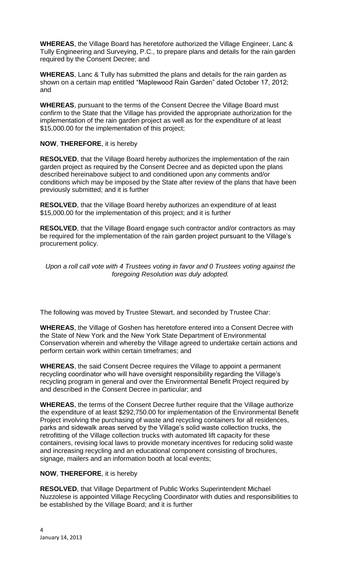**WHEREAS**, the Village Board has heretofore authorized the Village Engineer, Lanc & Tully Engineering and Surveying, P.C., to prepare plans and details for the rain garden required by the Consent Decree; and

**WHEREAS**, Lanc & Tully has submitted the plans and details for the rain garden as shown on a certain map entitled "Maplewood Rain Garden" dated October 17, 2012; and

**WHEREAS**, pursuant to the terms of the Consent Decree the Village Board must confirm to the State that the Village has provided the appropriate authorization for the implementation of the rain garden project as well as for the expenditure of at least \$15,000.00 for the implementation of this project;

**NOW**, **THEREFORE**, it is hereby

**RESOLVED**, that the Village Board hereby authorizes the implementation of the rain garden project as required by the Consent Decree and as depicted upon the plans described hereinabove subject to and conditioned upon any comments and/or conditions which may be imposed by the State after review of the plans that have been previously submitted; and it is further

**RESOLVED**, that the Village Board hereby authorizes an expenditure of at least \$15,000.00 for the implementation of this project; and it is further

**RESOLVED**, that the Village Board engage such contractor and/or contractors as may be required for the implementation of the rain garden project pursuant to the Village's procurement policy.

*Upon a roll call vote with 4 Trustees voting in favor and 0 Trustees voting against the foregoing Resolution was duly adopted.*

The following was moved by Trustee Stewart, and seconded by Trustee Char:

**WHEREAS**, the Village of Goshen has heretofore entered into a Consent Decree with the State of New York and the New York State Department of Environmental Conservation wherein and whereby the Village agreed to undertake certain actions and perform certain work within certain timeframes; and

**WHEREAS**, the said Consent Decree requires the Village to appoint a permanent recycling coordinator who will have oversight responsibility regarding the Village's recycling program in general and over the Environmental Benefit Project required by and described in the Consent Decree in particular; and

**WHEREAS**, the terms of the Consent Decree further require that the Village authorize the expenditure of at least \$292,750.00 for implementation of the Environmental Benefit Project involving the purchasing of waste and recycling containers for all residences, parks and sidewalk areas served by the Village's solid waste collection trucks, the retrofitting of the Village collection trucks with automated lift capacity for these containers, revising local laws to provide monetary incentives for reducing solid waste and increasing recycling and an educational component consisting of brochures, signage, mailers and an information booth at local events;

**NOW**, **THEREFORE**, it is hereby

**RESOLVED**, that Village Department of Public Works Superintendent Michael Nuzzolese is appointed Village Recycling Coordinator with duties and responsibilities to be established by the Village Board; and it is further